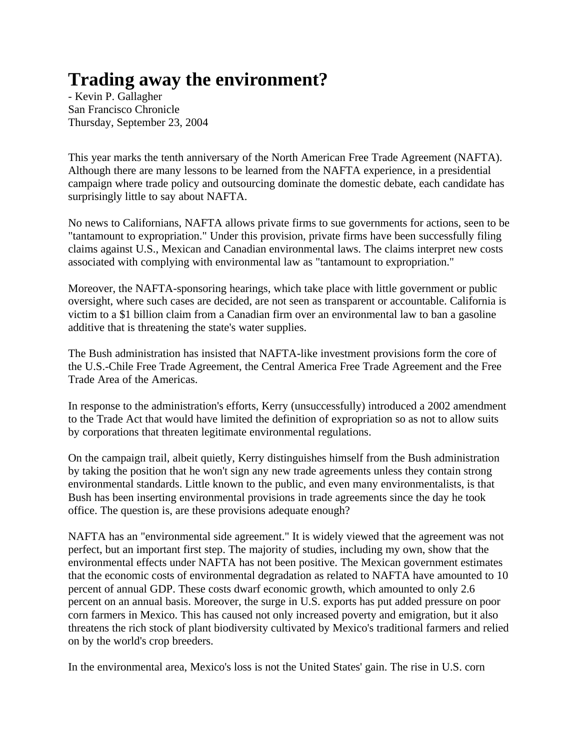## **Trading away the environment?**

- Kevin P. Gallagher San Francisco Chronicle Thursday, September 23, 2004

This year marks the tenth anniversary of the North American Free Trade Agreement (NAFTA). Although there are many lessons to be learned from the NAFTA experience, in a presidential campaign where trade policy and outsourcing dominate the domestic debate, each candidate has surprisingly little to say about NAFTA.

No news to Californians, NAFTA allows private firms to sue governments for actions, seen to be "tantamount to expropriation." Under this provision, private firms have been successfully filing claims against U.S., Mexican and Canadian environmental laws. The claims interpret new costs associated with complying with environmental law as "tantamount to expropriation."

Moreover, the NAFTA-sponsoring hearings, which take place with little government or public oversight, where such cases are decided, are not seen as transparent or accountable. California is victim to a \$1 billion claim from a Canadian firm over an environmental law to ban a gasoline additive that is threatening the state's water supplies.

The Bush administration has insisted that NAFTA-like investment provisions form the core of the U.S.-Chile Free Trade Agreement, the Central America Free Trade Agreement and the Free Trade Area of the Americas.

In response to the administration's efforts, Kerry (unsuccessfully) introduced a 2002 amendment to the Trade Act that would have limited the definition of expropriation so as not to allow suits by corporations that threaten legitimate environmental regulations.

On the campaign trail, albeit quietly, Kerry distinguishes himself from the Bush administration by taking the position that he won't sign any new trade agreements unless they contain strong environmental standards. Little known to the public, and even many environmentalists, is that Bush has been inserting environmental provisions in trade agreements since the day he took office. The question is, are these provisions adequate enough?

NAFTA has an "environmental side agreement." It is widely viewed that the agreement was not perfect, but an important first step. The majority of studies, including my own, show that the environmental effects under NAFTA has not been positive. The Mexican government estimates that the economic costs of environmental degradation as related to NAFTA have amounted to 10 percent of annual GDP. These costs dwarf economic growth, which amounted to only 2.6 percent on an annual basis. Moreover, the surge in U.S. exports has put added pressure on poor corn farmers in Mexico. This has caused not only increased poverty and emigration, but it also threatens the rich stock of plant biodiversity cultivated by Mexico's traditional farmers and relied on by the world's crop breeders.

In the environmental area, Mexico's loss is not the United States' gain. The rise in U.S. corn